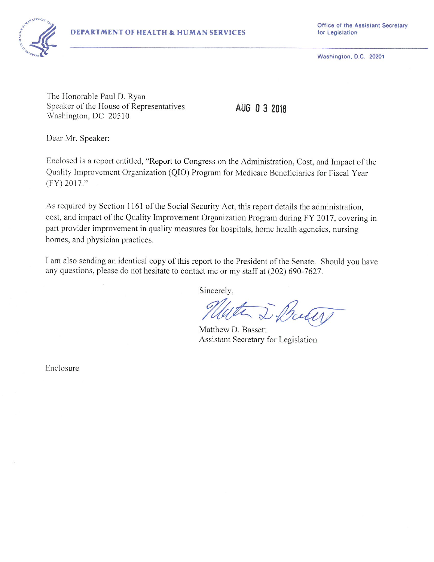

Office of the Assistant Secretary for Legislation

Washington, D.C. 20201

The Honorable Paul D. Ryan Speaker of the House of Representatives Washington, DC 20510

AUG 0 3 2018

Dear Mr. Speaker:

Enclosed is a report entitled, "Report to Congress on the Administration, Cost, and Impact of the Quality Improvement Organization (QIO) Program for Medicare Beneficiaries for Fiscal Year  $(FY) 2017."$ 

As required by Section 1161 of the Social Security Act, this report details the administration, cost, and impact of the Quality Improvement Organization Program during FY 2017, covering in part provider improvement in quality measures for hospitals, home health agencies, nursing homes, and physician practices.

I am also sending an identical copy of this report to the President of the Senate. Should you have any questions, please do not hesitate to contact me or my staff at (202) 690-7627.

Sincerely,

the D. Buter

Matthew D. Bassett Assistant Secretary for Legislation

Enclosure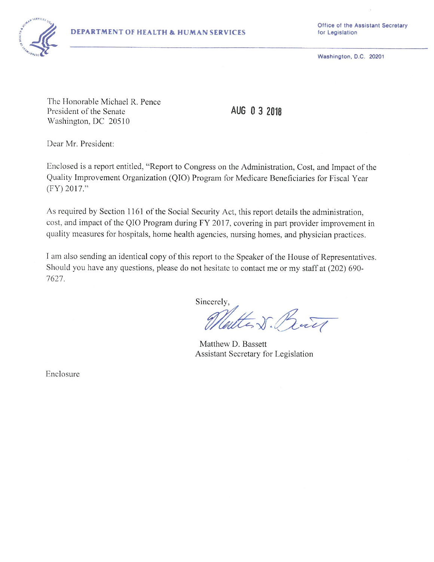

Washington, D.C. 20201

The Honorable Michael R. Pence President of the Senate Washington, DC 20510

AUG 0 3 2018

Dear Mr. President:

Enclosed is a report entitled, "Report to Congress on the Administration, Cost, and Impact of the Quality Improvement Organization (QIO) Program for Medicare Beneficiaries for Fiscal Year (FY) 2017."

As required by Section 1161 of the Social Security Act, this report details the administration, cost, and impact of the QIO Program during FY 2017, covering in part provider improvement in quality measures for hospitals, home health agencies, nursing homes, and physician practices.

I am also sending an identical copy of this report to the Speaker of the House of Representatives. Should you have any questions, please do not hesitate to contact me or my staff at (202) 690-7627.

Sincerely,

attent But

Matthew D. Bassett Assistant Secretary for Legislation

Enclosure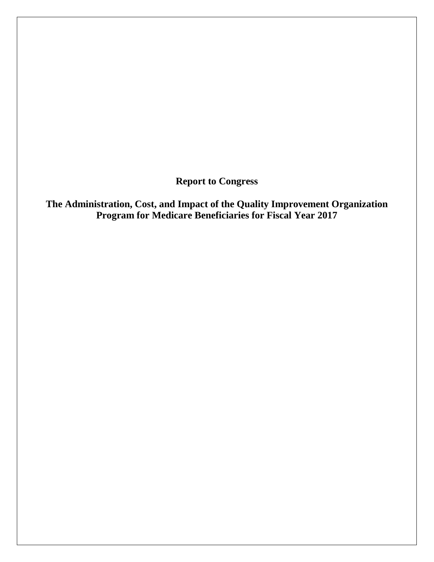**Report to Congress**

**The Administration, Cost, and Impact of the Quality Improvement Organization Program for Medicare Beneficiaries for Fiscal Year 2017**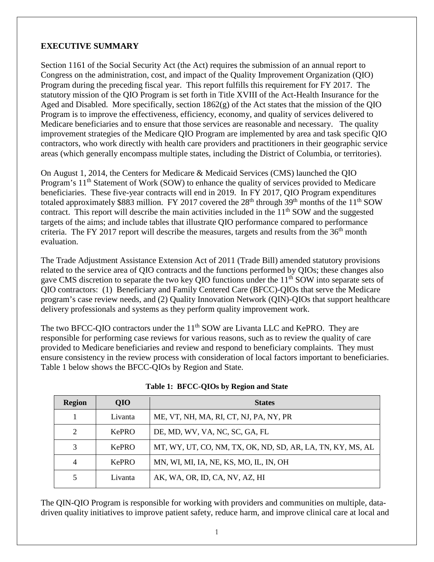### **EXECUTIVE SUMMARY**

Section 1161 of the Social Security Act (the Act) requires the submission of an annual report to Congress on the administration, cost, and impact of the Quality Improvement Organization (QIO) Program during the preceding fiscal year. This report fulfills this requirement for FY 2017. The statutory mission of the QIO Program is set forth in Title XVIII of the Act-Health Insurance for the Aged and Disabled. More specifically, section 1862(g) of the Act states that the mission of the QIO Program is to improve the effectiveness, efficiency, economy, and quality of services delivered to Medicare beneficiaries and to ensure that those services are reasonable and necessary. The quality improvement strategies of the Medicare QIO Program are implemented by area and task specific QIO contractors, who work directly with health care providers and practitioners in their geographic service areas (which generally encompass multiple states, including the District of Columbia, or territories).

On August 1, 2014, the Centers for Medicare & Medicaid Services (CMS) launched the QIO Program's 11<sup>th</sup> Statement of Work (SOW) to enhance the quality of services provided to Medicare beneficiaries. These five-year contracts will end in 2019. In FY 2017, QIO Program expenditures totaled approximately \$883 million. FY 2017 covered the 28<sup>th</sup> through 39<sup>th</sup> months of the 11<sup>th</sup> SOW contract. This report will describe the main activities included in the  $11<sup>th</sup>$  SOW and the suggested targets of the aims; and include tables that illustrate QIO performance compared to performance criteria. The FY 2017 report will describe the measures, targets and results from the  $36<sup>th</sup>$  month evaluation.

The Trade Adjustment Assistance Extension Act of 2011 (Trade Bill) amended statutory provisions related to the service area of QIO contracts and the functions performed by QIOs; these changes also gave CMS discretion to separate the two key QIO functions under the  $11<sup>th</sup>$  SOW into separate sets of QIO contractors: (1) Beneficiary and Family Centered Care (BFCC)-QIOs that serve the Medicare program's case review needs, and (2) Quality Innovation Network (QIN)-QIOs that support healthcare delivery professionals and systems as they perform quality improvement work.

The two BFCC-QIO contractors under the 11<sup>th</sup> SOW are Livanta LLC and KePRO. They are responsible for performing case reviews for various reasons, such as to review the quality of care provided to Medicare beneficiaries and review and respond to beneficiary complaints. They must ensure consistency in the review process with consideration of local factors important to beneficiaries. Table 1 below shows the BFCC-QIOs by Region and State.

| <b>Region</b> | <b>QIO</b>   | <b>States</b>                                              |
|---------------|--------------|------------------------------------------------------------|
|               | Livanta      | ME, VT, NH, MA, RI, CT, NJ, PA, NY, PR                     |
| 2             | <b>KePRO</b> | DE, MD, WV, VA, NC, SC, GA, FL                             |
| 3             | <b>KePRO</b> | MT, WY, UT, CO, NM, TX, OK, ND, SD, AR, LA, TN, KY, MS, AL |
| 4             | <b>KePRO</b> | MN, WI, MI, IA, NE, KS, MO, IL, IN, OH                     |
| 5             | Livanta      | AK, WA, OR, ID, CA, NV, AZ, HI                             |

The QIN-QIO Program is responsible for working with providers and communities on multiple, datadriven quality initiatives to improve patient safety, reduce harm, and improve clinical care at local and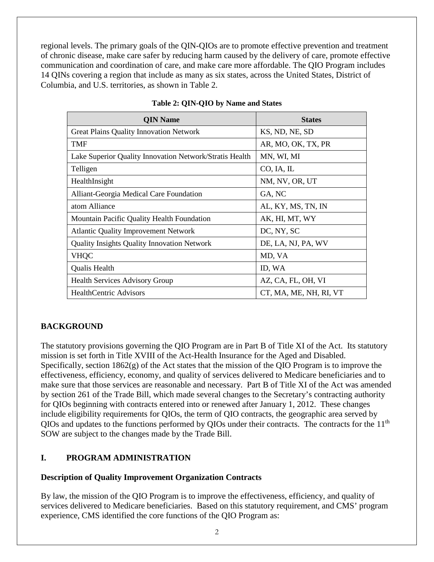regional levels. The primary goals of the QIN-QIOs are to promote effective prevention and treatment of chronic disease, make care safer by reducing harm caused by the delivery of care, promote effective communication and coordination of care, and make care more affordable. The QIO Program includes 14 QINs covering a region that include as many as six states, across the United States, District of Columbia, and U.S. territories, as shown in Table 2.

| <b>QIN Name</b>                                         | <b>States</b>          |
|---------------------------------------------------------|------------------------|
| <b>Great Plains Quality Innovation Network</b>          | KS, ND, NE, SD         |
| <b>TMF</b>                                              | AR, MO, OK, TX, PR     |
| Lake Superior Quality Innovation Network/Stratis Health | MN, WI, MI             |
| Telligen                                                | CO, IA, IL             |
| HealthInsight                                           | NM, NV, OR, UT         |
| Alliant-Georgia Medical Care Foundation                 | GA, NC                 |
| atom Alliance                                           | AL, KY, MS, TN, IN     |
| Mountain Pacific Quality Health Foundation              | AK, HI, MT, WY         |
| <b>Atlantic Quality Improvement Network</b>             | DC, NY, SC             |
| <b>Quality Insights Quality Innovation Network</b>      | DE, LA, NJ, PA, WV     |
| <b>VHQC</b>                                             | MD, VA                 |
| Qualis Health                                           | ID, WA                 |
| <b>Health Services Advisory Group</b>                   | AZ, CA, FL, OH, VI     |
| <b>HealthCentric Advisors</b>                           | CT, MA, ME, NH, RI, VT |

#### **Table 2: QIN-QIO by Name and States**

### **BACKGROUND**

The statutory provisions governing the QIO Program are in Part B of Title XI of the Act. Its statutory mission is set forth in Title XVIII of the Act-Health Insurance for the Aged and Disabled. Specifically, section  $1862(g)$  of the Act states that the mission of the QIO Program is to improve the effectiveness, efficiency, economy, and quality of services delivered to Medicare beneficiaries and to make sure that those services are reasonable and necessary. Part B of Title XI of the Act was amended by section 261 of the Trade Bill, which made several changes to the Secretary's contracting authority for QIOs beginning with contracts entered into or renewed after January 1, 2012. These changes include eligibility requirements for QIOs, the term of QIO contracts, the geographic area served by QIOs and updates to the functions performed by QIOs under their contracts. The contracts for the 11<sup>th</sup> SOW are subject to the changes made by the Trade Bill.

### **I. PROGRAM ADMINISTRATION**

#### **Description of Quality Improvement Organization Contracts**

By law, the mission of the QIO Program is to improve the effectiveness, efficiency, and quality of services delivered to Medicare beneficiaries. Based on this statutory requirement, and CMS' program experience, CMS identified the core functions of the QIO Program as: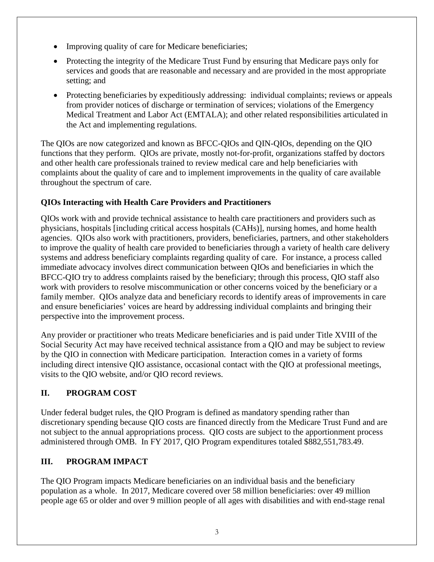- Improving quality of care for Medicare beneficiaries;
- Protecting the integrity of the Medicare Trust Fund by ensuring that Medicare pays only for services and goods that are reasonable and necessary and are provided in the most appropriate setting; and
- Protecting beneficiaries by expeditiously addressing: individual complaints; reviews or appeals from provider notices of discharge or termination of services; violations of the Emergency Medical Treatment and Labor Act (EMTALA); and other related responsibilities articulated in the Act and implementing regulations.

The QIOs are now categorized and known as BFCC-QIOs and QIN-QIOs, depending on the QIO functions that they perform. QIOs are private, mostly not-for-profit, organizations staffed by doctors and other health care professionals trained to review medical care and help beneficiaries with complaints about the quality of care and to implement improvements in the quality of care available throughout the spectrum of care.

## **QIOs Interacting with Health Care Providers and Practitioners**

QIOs work with and provide technical assistance to health care practitioners and providers such as physicians, hospitals [including critical access hospitals (CAHs)], nursing homes, and home health agencies. QIOs also work with practitioners, providers, beneficiaries, partners, and other stakeholders to improve the quality of health care provided to beneficiaries through a variety of health care delivery systems and address beneficiary complaints regarding quality of care. For instance, a process called immediate advocacy involves direct communication between QIOs and beneficiaries in which the BFCC-QIO try to address complaints raised by the beneficiary; through this process, QIO staff also work with providers to resolve miscommunication or other concerns voiced by the beneficiary or a family member. QIOs analyze data and beneficiary records to identify areas of improvements in care and ensure beneficiaries' voices are heard by addressing individual complaints and bringing their perspective into the improvement process.

Any provider or practitioner who treats Medicare beneficiaries and is paid under Title XVIII of the Social Security Act may have received technical assistance from a QIO and may be subject to review by the QIO in connection with Medicare participation. Interaction comes in a variety of forms including direct intensive QIO assistance, occasional contact with the QIO at professional meetings, visits to the QIO website, and/or QIO record reviews.

# **II. PROGRAM COST**

Under federal budget rules, the QIO Program is defined as mandatory spending rather than discretionary spending because QIO costs are financed directly from the Medicare Trust Fund and are not subject to the annual appropriations process. QIO costs are subject to the apportionment process administered through OMB. In FY 2017, QIO Program expenditures totaled \$882,551,783.49.

## **III. PROGRAM IMPACT**

The QIO Program impacts Medicare beneficiaries on an individual basis and the beneficiary population as a whole. In 2017, Medicare covered over 58 million beneficiaries: over 49 million people age 65 or older and over 9 million people of all ages with disabilities and with end-stage renal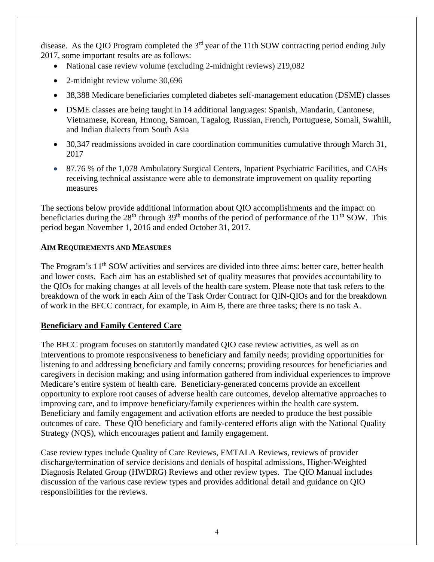disease. As the QIO Program completed the  $3<sup>rd</sup>$  year of the 11th SOW contracting period ending July 2017, some important results are as follows:

- National case review volume (excluding 2-midnight reviews) 219,082
- 2-midnight review volume 30,696
- 38,388 Medicare beneficiaries completed diabetes self-management education (DSME) classes
- DSME classes are being taught in 14 additional languages: Spanish, Mandarin, Cantonese, Vietnamese, Korean, Hmong, Samoan, Tagalog, Russian, French, Portuguese, Somali, Swahili, and Indian dialects from South Asia
- 30,347 readmissions avoided in care coordination communities cumulative through March 31, 2017
- 87.76 % of the 1.078 Ambulatory Surgical Centers, Inpatient Psychiatric Facilities, and CAHs receiving technical assistance were able to demonstrate improvement on quality reporting measures

The sections below provide additional information about QIO accomplishments and the impact on beneficiaries during the  $28<sup>th</sup>$  through  $39<sup>th</sup>$  months of the period of performance of the  $11<sup>th</sup>$  SOW. This period began November 1, 2016 and ended October 31, 2017.

### **AIM REQUIREMENTS AND MEASURES**

The Program's 11<sup>th</sup> SOW activities and services are divided into three aims: better care, better health and lower costs. Each aim has an established set of quality measures that provides accountability to the QIOs for making changes at all levels of the health care system. Please note that task refers to the breakdown of the work in each Aim of the Task Order Contract for QIN-QIOs and for the breakdown of work in the BFCC contract, for example, in Aim B, there are three tasks; there is no task A.

## **Beneficiary and Family Centered Care**

The BFCC program focuses on statutorily mandated QIO case review activities, as well as on interventions to promote responsiveness to beneficiary and family needs; providing opportunities for listening to and addressing beneficiary and family concerns; providing resources for beneficiaries and caregivers in decision making; and using information gathered from individual experiences to improve Medicare's entire system of health care. Beneficiary-generated concerns provide an excellent opportunity to explore root causes of adverse health care outcomes, develop alternative approaches to improving care, and to improve beneficiary/family experiences within the health care system. Beneficiary and family engagement and activation efforts are needed to produce the best possible outcomes of care. These QIO beneficiary and family-centered efforts align with the National Quality Strategy (NQS), which encourages patient and family engagement.

Case review types include Quality of Care Reviews, EMTALA Reviews, reviews of provider discharge/termination of service decisions and denials of hospital admissions, Higher-Weighted Diagnosis Related Group (HWDRG) Reviews and other review types. The QIO Manual includes discussion of the various case review types and provides additional detail and guidance on QIO responsibilities for the reviews.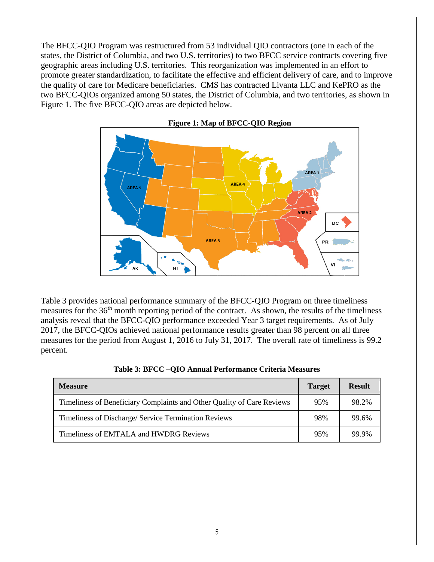The BFCC-QIO Program was restructured from 53 individual QIO contractors (one in each of the states, the District of Columbia, and two U.S. territories) to two BFCC service contracts covering five geographic areas including U.S. territories. This reorganization was implemented in an effort to promote greater standardization, to facilitate the effective and efficient delivery of care, and to improve the quality of care for Medicare beneficiaries. CMS has contracted Livanta LLC and KePRO as the two BFCC-QIOs organized among 50 states, the District of Columbia, and two territories, as shown in Figure 1. The five BFCC-QIO areas are depicted below.



 **Figure 1: Map of BFCC-QIO Region**

Table 3 provides national performance summary of the BFCC-QIO Program on three timeliness measures for the 36<sup>th</sup> month reporting period of the contract. As shown, the results of the timeliness analysis reveal that the BFCC-QIO performance exceeded Year 3 target requirements. As of July 2017, the BFCC-QIOs achieved national performance results greater than 98 percent on all three measures for the period from August 1, 2016 to July 31, 2017. The overall rate of timeliness is 99.2 percent.

| <b>Measure</b>                                                         |     | <b>Result</b> |
|------------------------------------------------------------------------|-----|---------------|
| Timeliness of Beneficiary Complaints and Other Quality of Care Reviews | 95% | 98.2%         |
| Timeliness of Discharge/ Service Termination Reviews                   | 98% | 99.6%         |
| Timeliness of EMTALA and HWDRG Reviews                                 | 95% | 99.9%         |

|  | Table 3: BFCC -QIO Annual Performance Criteria Measures |  |
|--|---------------------------------------------------------|--|
|--|---------------------------------------------------------|--|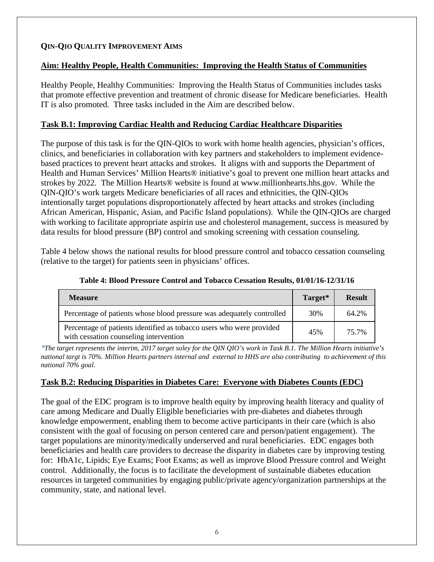## **QIN-QIO QUALITY IMPROVEMENT AIMS**

### **Aim: Healthy People, Health Communities: Improving the Health Status of Communities**

Healthy People, Healthy Communities: Improving the Health Status of Communities includes tasks that promote effective prevention and treatment of chronic disease for Medicare beneficiaries. Health IT is also promoted. Three tasks included in the Aim are described below.

### **Task B.1: Improving Cardiac Health and Reducing Cardiac Healthcare Disparities**

The purpose of this task is for the QIN-QIOs to work with home health agencies, physician's offices, clinics, and beneficiaries in collaboration with key partners and stakeholders to implement evidencebased practices to prevent heart attacks and strokes. It aligns with and supports the Department of Health and Human Services' Million Hearts® initiative's goal to prevent one million heart attacks and strokes by 2022. The Million Hearts® website is found at www.millionhearts.hhs.gov. While the QIN-QIO's work targets Medicare beneficiaries of all races and ethnicities, the QIN-QIOs intentionally target populations disproportionately affected by heart attacks and strokes (including African American, Hispanic, Asian, and Pacific Island populations). While the QIN-QIOs are charged with working to facilitate appropriate aspirin use and cholesterol management, success is measured by data results for blood pressure (BP) control and smoking screening with cessation counseling.

Table 4 below shows the national results for blood pressure control and tobacco cessation counseling (relative to the target) for patients seen in physicians' offices.

| <b>Measure</b>                                                                                                 | Target* | <b>Result</b> |
|----------------------------------------------------------------------------------------------------------------|---------|---------------|
| Percentage of patients whose blood pressure was adequately controlled                                          | 30%     | 64.2%         |
| Percentage of patients identified as tobacco users who were provided<br>with cessation counseling intervention | 45%     | 75.7%         |

**Table 4: Blood Pressure Control and Tobacco Cessation Results, 01/01/16-12/31/16**

*\*The target represents the interim, 2017 target soley for the QIN QIO's work in Task B.1. The Million Hearts initiative's national targt is 70%. Million Hearts partners internal and external to HHS are also contributing to achievement of this national 70% goal.* 

#### **Task B.2: Reducing Disparities in Diabetes Care: Everyone with Diabetes Counts (EDC)**

The goal of the EDC program is to improve health equity by improving health literacy and quality of care among Medicare and Dually Eligible beneficiaries with pre-diabetes and diabetes through knowledge empowerment, enabling them to become active participants in their care (which is also consistent with the goal of focusing on person centered care and person/patient engagement). The target populations are minority/medically underserved and rural beneficiaries. EDC engages both beneficiaries and health care providers to decrease the disparity in diabetes care by improving testing for: HbA1c, Lipids; Eye Exams; Foot Exams; as well as improve Blood Pressure control and Weight control. Additionally, the focus is to facilitate the development of sustainable diabetes education resources in targeted communities by engaging public/private agency/organization partnerships at the community, state, and national level.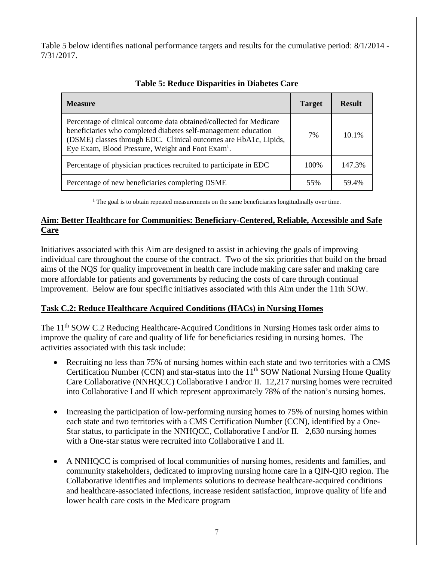Table 5 below identifies national performance targets and results for the cumulative period: 8/1/2014 - 7/31/2017.

| <b>Measure</b>                                                                                                                                                                                                                                                             | <b>Target</b> | <b>Result</b> |
|----------------------------------------------------------------------------------------------------------------------------------------------------------------------------------------------------------------------------------------------------------------------------|---------------|---------------|
| Percentage of clinical outcome data obtained/collected for Medicare<br>beneficiaries who completed diabetes self-management education<br>(DSME) classes through EDC. Clinical outcomes are HbA1c, Lipids,<br>Eye Exam, Blood Pressure, Weight and Foot Exam <sup>1</sup> . | 7%            | 10.1%         |
| Percentage of physician practices recruited to participate in EDC                                                                                                                                                                                                          | 100%          | 147.3%        |
| Percentage of new beneficiaries completing DSME                                                                                                                                                                                                                            | 55%           | 59.4%         |

|  | <b>Table 5: Reduce Disparities in Diabetes Care</b> |  |  |
|--|-----------------------------------------------------|--|--|
|  |                                                     |  |  |

 $<sup>1</sup>$  The goal is to obtain repeated measurements on the same beneficiaries longitudinally over time.</sup>

## **Aim: Better Healthcare for Communities: Beneficiary-Centered, Reliable, Accessible and Safe Care**

Initiatives associated with this Aim are designed to assist in achieving the goals of improving individual care throughout the course of the contract. Two of the six priorities that build on the broad aims of the NQS for quality improvement in health care include making care safer and making care more affordable for patients and governments by reducing the costs of care through continual improvement. Below are four specific initiatives associated with this Aim under the 11th SOW.

## **Task C.2: Reduce Healthcare Acquired Conditions (HACs) in Nursing Homes**

The 11<sup>th</sup> SOW C.2 Reducing Healthcare-Acquired Conditions in Nursing Homes task order aims to improve the quality of care and quality of life for beneficiaries residing in nursing homes. The activities associated with this task include:

- Recruiting no less than 75% of nursing homes within each state and two territories with a CMS Certification Number (CCN) and star-status into the  $11<sup>th</sup>$  SOW National Nursing Home Quality Care Collaborative (NNHQCC) Collaborative I and/or II. 12,217 nursing homes were recruited into Collaborative I and II which represent approximately 78% of the nation's nursing homes.
- Increasing the participation of low-performing nursing homes to 75% of nursing homes within each state and two territories with a CMS Certification Number (CCN), identified by a One-Star status, to participate in the NNHQCC, Collaborative I and/or II. 2,630 nursing homes with a One-star status were recruited into Collaborative I and II.
- A NNHQCC is comprised of local communities of nursing homes, residents and families, and community stakeholders, dedicated to improving nursing home care in a QIN-QIO region. The Collaborative identifies and implements solutions to decrease healthcare-acquired conditions and healthcare-associated infections, increase resident satisfaction, improve quality of life and lower health care costs in the Medicare program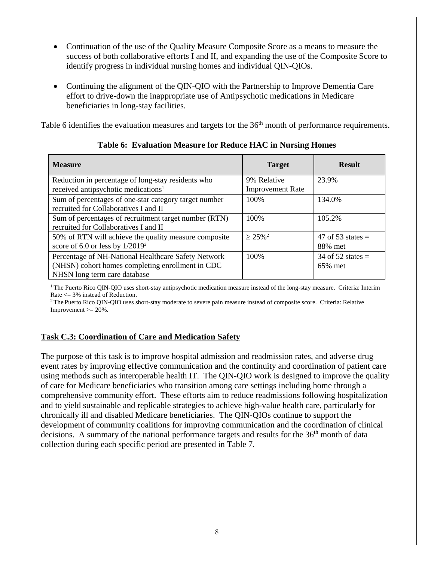- Continuation of the use of the Quality Measure Composite Score as a means to measure the success of both collaborative efforts I and II, and expanding the use of the Composite Score to identify progress in individual nursing homes and individual QIN-QIOs.
- Continuing the alignment of the QIN-QIO with the Partnership to Improve Dementia Care effort to drive-down the inappropriate use of Antipsychotic medications in Medicare beneficiaries in long-stay facilities.

Table 6 identifies the evaluation measures and targets for the 36<sup>th</sup> month of performance requirements.

| <b>Measure</b>                                                                                                                          | <b>Target</b>                          | <b>Result</b>                  |
|-----------------------------------------------------------------------------------------------------------------------------------------|----------------------------------------|--------------------------------|
| Reduction in percentage of long-stay residents who<br>received antipsychotic medications <sup>1</sup>                                   | 9% Relative<br><b>Improvement Rate</b> | 23.9%                          |
| Sum of percentages of one-star category target number<br>recruited for Collaboratives I and II                                          | 100%                                   | 134.0%                         |
| Sum of percentages of recruitment target number (RTN)<br>recruited for Collaboratives I and II                                          | 100%                                   | 105.2%                         |
| 50% of RTN will achieve the quality measure composite<br>score of $6.0$ or less by $1/2019^2$                                           | $\geq 25\%$ <sup>2</sup>               | 47 of 53 states $=$<br>88% met |
| Percentage of NH-National Healthcare Safety Network<br>(NHSN) cohort homes completing enrollment in CDC<br>NHSN long term care database | 100%                                   | 34 of 52 states $=$<br>65% met |

**Table 6: Evaluation Measure for Reduce HAC in Nursing Homes**

<sup>1</sup> The Puerto Rico QIN-QIO uses short-stay antipsychotic medication measure instead of the long-stay measure. Criteria: Interim Rate <= 3% instead of Reduction.

<sup>2</sup> The Puerto Rico QIN-QIO uses short-stay moderate to severe pain measure instead of composite score. Criteria: Relative Improvement  $\geq$  20%.

### **Task C.3: Coordination of Care and Medication Safety**

The purpose of this task is to improve hospital admission and readmission rates, and adverse drug event rates by improving effective communication and the continuity and coordination of patient care using methods such as interoperable health IT. The QIN-QIO work is designed to improve the quality of care for Medicare beneficiaries who transition among care settings including home through a comprehensive community effort. These efforts aim to reduce readmissions following hospitalization and to yield sustainable and replicable strategies to achieve high-value health care, particularly for chronically ill and disabled Medicare beneficiaries. The QIN-QIOs continue to support the development of community coalitions for improving communication and the coordination of clinical decisions. A summary of the national performance targets and results for the  $36<sup>th</sup>$  month of data collection during each specific period are presented in Table 7.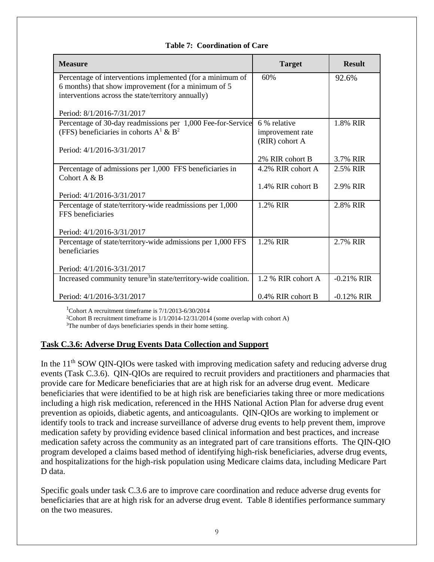#### **Table 7: Coordination of Care**

| <b>Measure</b>                                                                                            | <b>Target</b>        | <b>Result</b> |
|-----------------------------------------------------------------------------------------------------------|----------------------|---------------|
| Percentage of interventions implemented (for a minimum of                                                 | 60%                  | 92.6%         |
| 6 months) that show improvement (for a minimum of 5<br>interventions across the state/territory annually) |                      |               |
|                                                                                                           |                      |               |
| Period: 8/1/2016-7/31/2017                                                                                |                      |               |
| Percentage of 30-day readmissions per 1,000 Fee-for-Service                                               | 6 % relative         | 1.8% RIR      |
| (FFS) beneficiaries in cohorts $A^1 \& B^2$                                                               | improvement rate     |               |
|                                                                                                           | (RIR) cohort A       |               |
| Period: 4/1/2016-3/31/2017                                                                                | 2% RIR cohort B      | 3.7% RIR      |
| Percentage of admissions per 1,000 FFS beneficiaries in                                                   | 4.2% RIR cohort A    | 2.5% RIR      |
| Cohort $A & B$                                                                                            |                      |               |
|                                                                                                           | 1.4% RIR cohort B    | 2.9% RIR      |
| Period: 4/1/2016-3/31/2017                                                                                |                      |               |
| Percentage of state/territory-wide readmissions per 1,000                                                 | 1.2% RIR             | 2.8% RIR      |
| FFS beneficiaries                                                                                         |                      |               |
| Period: 4/1/2016-3/31/2017                                                                                |                      |               |
| Percentage of state/territory-wide admissions per 1,000 FFS                                               | 1.2% RIR             | 2.7% RIR      |
| beneficiaries                                                                                             |                      |               |
|                                                                                                           |                      |               |
| Period: 4/1/2016-3/31/2017                                                                                |                      |               |
| Increased community tenure <sup>3</sup> in state/territory-wide coalition.                                | 1.2 % RIR cohort A   | $-0.21\%$ RIR |
| Period: 4/1/2016-3/31/2017                                                                                | $0.4\%$ RIR cohort B | $-0.12\%$ RIR |

1 Cohort A recruitment timeframe is 7/1/2013-6/30/2014

<sup>2</sup>Cohort B recruitment timeframe is  $1/1/2014-12/31/2014$  (some overlap with cohort A)

<sup>3</sup>The number of days beneficiaries spends in their home setting.

#### **Task C.3.6: Adverse Drug Events Data Collection and Support**

In the  $11<sup>th</sup>$  SOW QIN-QIOs were tasked with improving medication safety and reducing adverse drug events (Task C.3.6). QIN-QIOs are required to recruit providers and practitioners and pharmacies that provide care for Medicare beneficiaries that are at high risk for an adverse drug event. Medicare beneficiaries that were identified to be at high risk are beneficiaries taking three or more medications including a high risk medication, referenced in the HHS National Action Plan for adverse drug event prevention as opioids, diabetic agents, and anticoagulants. QIN-QIOs are working to implement or identify tools to track and increase surveillance of adverse drug events to help prevent them, improve medication safety by providing evidence based clinical information and best practices, and increase medication safety across the community as an integrated part of care transitions efforts. The QIN-QIO program developed a claims based method of identifying high-risk beneficiaries, adverse drug events, and hospitalizations for the high-risk population using Medicare claims data, including Medicare Part D data.

Specific goals under task C.3.6 are to improve care coordination and reduce adverse drug events for beneficiaries that are at high risk for an adverse drug event. Table 8 identifies performance summary on the two measures.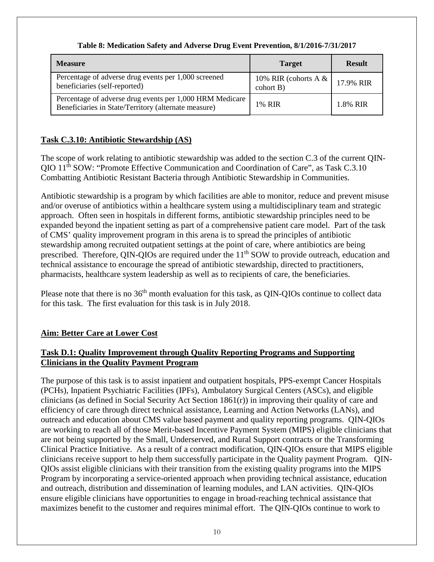| <b>Measure</b>                                                                                                   | <b>Target</b>                       | <b>Result</b> |
|------------------------------------------------------------------------------------------------------------------|-------------------------------------|---------------|
| Percentage of adverse drug events per 1,000 screened<br>beneficiaries (self-reported)                            | 10% RIR (cohorts $A &$<br>cohort B) | 17.9% RIR     |
| Percentage of adverse drug events per 1,000 HRM Medicare<br>Beneficiaries in State/Territory (alternate measure) | 1% RIR                              | 1.8% RIR      |

## **Table 8: Medication Safety and Adverse Drug Event Prevention, 8/1/2016-7/31/2017**

## **Task C.3.10: Antibiotic Stewardship (AS)**

The scope of work relating to antibiotic stewardship was added to the section C.3 of the current QIN-QIO 11th SOW: "Promote Effective Communication and Coordination of Care", as Task C.3.10 Combatting Antibiotic Resistant Bacteria through Antibiotic Stewardship in Communities.

Antibiotic stewardship is a program by which facilities are able to monitor, reduce and prevent misuse and/or overuse of antibiotics within a healthcare system using a multidisciplinary team and strategic approach. Often seen in hospitals in different forms, antibiotic stewardship principles need to be expanded beyond the inpatient setting as part of a comprehensive patient care model. Part of the task of CMS' quality improvement program in this arena is to spread the principles of antibiotic stewardship among recruited outpatient settings at the point of care, where antibiotics are being prescribed. Therefore, QIN-QIOs are required under the 11<sup>th</sup> SOW to provide outreach, education and technical assistance to encourage the spread of antibiotic stewardship, directed to practitioners, pharmacists, healthcare system leadership as well as to recipients of care, the beneficiaries.

Please note that there is no 36<sup>th</sup> month evaluation for this task, as OIN-OIOs continue to collect data for this task. The first evaluation for this task is in July 2018.

## **Aim: Better Care at Lower Cost**

## **Task D.1: Quality Improvement through Quality Reporting Programs and Supporting Clinicians in the Quality Payment Program**

The purpose of this task is to assist inpatient and outpatient hospitals, PPS-exempt Cancer Hospitals (PCHs), Inpatient Psychiatric Facilities (IPFs), Ambulatory Surgical Centers (ASCs), and eligible clinicians (as defined in Social Security Act Section 1861(r)) in improving their quality of care and efficiency of care through direct technical assistance, Learning and Action Networks (LANs), and outreach and education about CMS value based payment and quality reporting programs. QIN-QIOs are working to reach all of those Merit-based Incentive Payment System (MIPS) eligible clinicians that are not being supported by the Small, Underserved, and Rural Support contracts or the Transforming Clinical Practice Initiative. As a result of a contract modification, QIN-QIOs ensure that MIPS eligible clinicians receive support to help them successfully participate in the Quality payment Program. QIN-QIOs assist eligible clinicians with their transition from the existing quality programs into the MIPS Program by incorporating a service-oriented approach when providing technical assistance, education and outreach, distribution and dissemination of learning modules, and LAN activities. QIN-QIOs ensure eligible clinicians have opportunities to engage in broad-reaching technical assistance that maximizes benefit to the customer and requires minimal effort. The QIN-QIOs continue to work to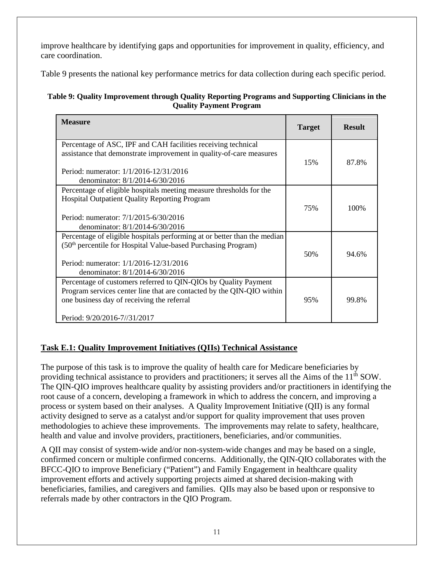improve healthcare by identifying gaps and opportunities for improvement in quality, efficiency, and care coordination.

Table 9 presents the national key performance metrics for data collection during each specific period.

### **Table 9: Quality Improvement through Quality Reporting Programs and Supporting Clinicians in the Quality Payment Program**

| <b>Measure</b>                                                                                                                                                                                                                     | <b>Target</b> | <b>Result</b> |
|------------------------------------------------------------------------------------------------------------------------------------------------------------------------------------------------------------------------------------|---------------|---------------|
| Percentage of ASC, IPF and CAH facilities receiving technical<br>assistance that demonstrate improvement in quality-of-care measures<br>Period: numerator: 1/1/2016-12/31/2016<br>denominator: 8/1/2014-6/30/2016                  | 15%           | 87.8%         |
| Percentage of eligible hospitals meeting measure thresholds for the<br><b>Hospital Outpatient Quality Reporting Program</b><br>Period: numerator: 7/1/2015-6/30/2016<br>denominator: 8/1/2014-6/30/2016                            | 75%           | 100%          |
| Percentage of eligible hospitals performing at or better than the median<br>(50 <sup>th</sup> percentile for Hospital Value-based Purchasing Program)<br>Period: numerator: 1/1/2016-12/31/2016<br>denominator: 8/1/2014-6/30/2016 | 50%           | 94.6%         |
| Percentage of customers referred to QIN-QIOs by Quality Payment<br>Program services center line that are contacted by the QIN-QIO within<br>one business day of receiving the referral<br>Period: 9/20/2016-7//31/2017             | 95%           | 99.8%         |

## **Task E.1: Quality Improvement Initiatives (QIIs) Technical Assistance**

The purpose of this task is to improve the quality of health care for Medicare beneficiaries by providing technical assistance to providers and practitioners; it serves all the Aims of the 11<sup>th</sup> SOW. The QIN-QIO improves healthcare quality by assisting providers and/or practitioners in identifying the root cause of a concern, developing a framework in which to address the concern, and improving a process or system based on their analyses. A Quality Improvement Initiative (QII) is any formal activity designed to serve as a catalyst and/or support for quality improvement that uses proven methodologies to achieve these improvements. The improvements may relate to safety, healthcare, health and value and involve providers, practitioners, beneficiaries, and/or communities.

A QII may consist of system-wide and/or non-system-wide changes and may be based on a single, confirmed concern or multiple confirmed concerns. Additionally, the QIN-QIO collaborates with the BFCC-QIO to improve Beneficiary ("Patient") and Family Engagement in healthcare quality improvement efforts and actively supporting projects aimed at shared decision-making with beneficiaries, families, and caregivers and families. QIIs may also be based upon or responsive to referrals made by other contractors in the QIO Program.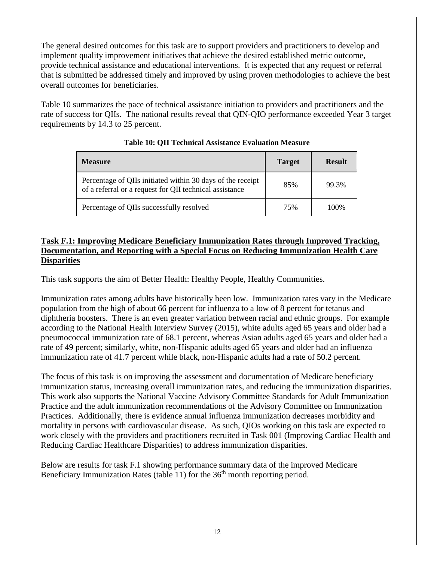The general desired outcomes for this task are to support providers and practitioners to develop and implement quality improvement initiatives that achieve the desired established metric outcome, provide technical assistance and educational interventions. It is expected that any request or referral that is submitted be addressed timely and improved by using proven methodologies to achieve the best overall outcomes for beneficiaries.

Table 10 summarizes the pace of technical assistance initiation to providers and practitioners and the rate of success for QIIs. The national results reveal that QIN-QIO performance exceeded Year 3 target requirements by 14.3 to 25 percent.

| <b>Measure</b>                                                                                                        | <b>Target</b> | <b>Result</b> |
|-----------------------------------------------------------------------------------------------------------------------|---------------|---------------|
| Percentage of QIIs initiated within 30 days of the receipt<br>of a referral or a request for QII technical assistance | 85%           | 99.3%         |
| Percentage of QIIs successfully resolved                                                                              | 75%           | 100%          |

### **Table 10: QII Technical Assistance Evaluation Measure**

### **Task F.1: Improving Medicare Beneficiary Immunization Rates through Improved Tracking, Documentation, and Reporting with a Special Focus on Reducing Immunization Health Care Disparities**

This task supports the aim of Better Health: Healthy People, Healthy Communities.

Immunization rates among adults have historically been low. Immunization rates vary in the Medicare population from the high of about 66 percent for influenza to a low of 8 percent for tetanus and diphtheria boosters. There is an even greater variation between racial and ethnic groups. For example according to the National Health Interview Survey (2015), white adults aged 65 years and older had a pneumococcal immunization rate of 68.1 percent, whereas Asian adults aged 65 years and older had a rate of 49 percent; similarly, white, non-Hispanic adults aged 65 years and older had an influenza immunization rate of 41.7 percent while black, non-Hispanic adults had a rate of 50.2 percent.

The focus of this task is on improving the assessment and documentation of Medicare beneficiary immunization status, increasing overall immunization rates, and reducing the immunization disparities. This work also supports the National Vaccine Advisory Committee Standards for Adult Immunization Practice and the adult immunization recommendations of the Advisory Committee on Immunization Practices. Additionally, there is evidence annual influenza immunization decreases morbidity and mortality in persons with cardiovascular disease. As such, QIOs working on this task are expected to work closely with the providers and practitioners recruited in Task 001 (Improving Cardiac Health and Reducing Cardiac Healthcare Disparities) to address immunization disparities.

Below are results for task F.1 showing performance summary data of the improved Medicare Beneficiary Immunization Rates (table 11) for the  $36<sup>th</sup>$  month reporting period.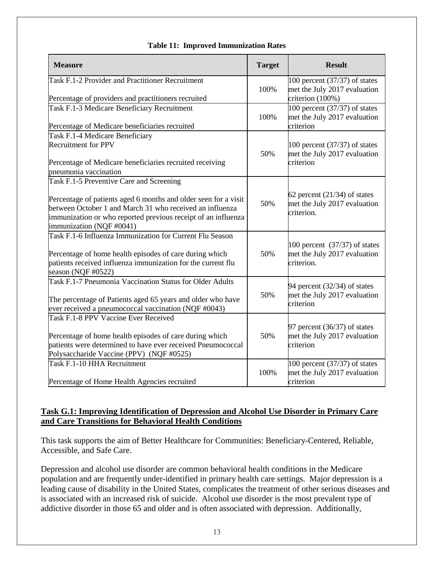| <b>Measure</b>                                                                                                                                                                                                                                                       | <b>Target</b> | <b>Result</b>                                                                       |
|----------------------------------------------------------------------------------------------------------------------------------------------------------------------------------------------------------------------------------------------------------------------|---------------|-------------------------------------------------------------------------------------|
| Task F.1-2 Provider and Practitioner Recruitment<br>Percentage of providers and practitioners recruited                                                                                                                                                              | 100%          | 100 percent $(37/37)$ of states<br>met the July 2017 evaluation<br>criterion (100%) |
| Task F.1-3 Medicare Beneficiary Recruitment<br>Percentage of Medicare beneficiaries recruited                                                                                                                                                                        | 100%          | 100 percent $(37/37)$ of states<br>met the July 2017 evaluation<br>criterion        |
| Task F.1-4 Medicare Beneficiary<br><b>Recruitment for PPV</b><br>Percentage of Medicare beneficiaries recruited receiving<br>pneumonia vaccination                                                                                                                   | 50%           | 100 percent $(37/37)$ of states<br>met the July 2017 evaluation<br>criterion        |
| Task F.1-5 Preventive Care and Screening<br>Percentage of patients aged 6 months and older seen for a visit<br>between October 1 and March 31 who received an influenza<br>immunization or who reported previous receipt of an influenza<br>immunization (NQF #0041) | 50%           | 62 percent $(21/34)$ of states<br>met the July 2017 evaluation<br>criterion.        |
| Task F.1-6 Influenza Immunization for Current Flu Season<br>Percentage of home health episodes of care during which<br>patients received influenza immunization for the current flu<br>season (NQF #0522)                                                            | 50%           | 100 percent $(37/37)$ of states<br>met the July 2017 evaluation<br>criterion.       |
| Task F.1-7 Pneumonia Vaccination Status for Older Adults<br>The percentage of Patients aged 65 years and older who have<br>ever received a pneumococcal vaccination (NQF #0043)                                                                                      | 50%           | 94 percent (32/34) of states<br>met the July 2017 evaluation<br>criterion           |
| Task F.1-8 PPV Vaccine Ever Received<br>Percentage of home health episodes of care during which<br>patients were determined to have ever received Pneumococcal<br>Polysaccharide Vaccine (PPV) (NQF #0525)                                                           | 50%           | 97 percent (36/37) of states<br>met the July 2017 evaluation<br>criterion           |
| Task F.1-10 HHA Recruitment<br>Percentage of Home Health Agencies recruited                                                                                                                                                                                          | 100%          | 100 percent $(37/37)$ of states<br>met the July 2017 evaluation<br>criterion        |

### **Table 11: Improved Immunization Rates**

### **Task G.1: Improving Identification of Depression and Alcohol Use Disorder in Primary Care and Care Transitions for Behavioral Health Conditions**

This task supports the aim of Better Healthcare for Communities: Beneficiary-Centered, Reliable, Accessible, and Safe Care.

Depression and alcohol use disorder are common behavioral health conditions in the Medicare population and are frequently under-identified in primary health care settings. Major depression is a leading cause of disability in the United States, complicates the treatment of other serious diseases and is associated with an increased risk of suicide. Alcohol use disorder is the most prevalent type of addictive disorder in those 65 and older and is often associated with depression. Additionally,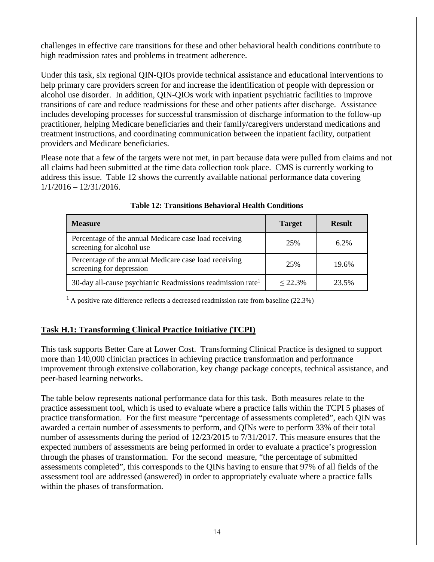challenges in effective care transitions for these and other behavioral health conditions contribute to high readmission rates and problems in treatment adherence.

Under this task, six regional QIN-QIOs provide technical assistance and educational interventions to help primary care providers screen for and increase the identification of people with depression or alcohol use disorder. In addition, QIN-QIOs work with inpatient psychiatric facilities to improve transitions of care and reduce readmissions for these and other patients after discharge. Assistance includes developing processes for successful transmission of discharge information to the follow-up practitioner, helping Medicare beneficiaries and their family/caregivers understand medications and treatment instructions, and coordinating communication between the inpatient facility, outpatient providers and Medicare beneficiaries.

Please note that a few of the targets were not met, in part because data were pulled from claims and not all claims had been submitted at the time data collection took place. CMS is currently working to address this issue. Table 12 shows the currently available national performance data covering  $1/1/2016 - 12/31/2016$ .

| <b>Measure</b>                                                                     | <b>Target</b> | <b>Result</b> |
|------------------------------------------------------------------------------------|---------------|---------------|
| Percentage of the annual Medicare case load receiving<br>screening for alcohol use | 25%           | $6.2\%$       |
| Percentage of the annual Medicare case load receiving<br>screening for depression  | 25%           | 19.6%         |
| 30-day all-cause psychiatric Readmissions readmission rate <sup>1</sup>            | $< 22.3\%$    | 23.5%         |

| <b>Table 12: Transitions Behavioral Health Conditions</b> |  |  |  |
|-----------------------------------------------------------|--|--|--|
|-----------------------------------------------------------|--|--|--|

 $1$  A positive rate difference reflects a decreased readmission rate from baseline (22.3%)

## **Task H.1: Transforming Clinical Practice Initiative (TCPI)**

This task supports Better Care at Lower Cost. Transforming Clinical Practice is designed to support more than 140,000 clinician practices in achieving practice transformation and performance improvement through extensive collaboration, key change package concepts, technical assistance, and peer-based learning networks.

The table below represents national performance data for this task. Both measures relate to the practice assessment tool, which is used to evaluate where a practice falls within the TCPI 5 phases of practice transformation. For the first measure "percentage of assessments completed", each QIN was awarded a certain number of assessments to perform, and QINs were to perform 33% of their total number of assessments during the period of 12/23/2015 to 7/31/2017. This measure ensures that the expected numbers of assessments are being performed in order to evaluate a practice's progression through the phases of transformation. For the second measure, "the percentage of submitted assessments completed", this corresponds to the QINs having to ensure that 97% of all fields of the assessment tool are addressed (answered) in order to appropriately evaluate where a practice falls within the phases of transformation.